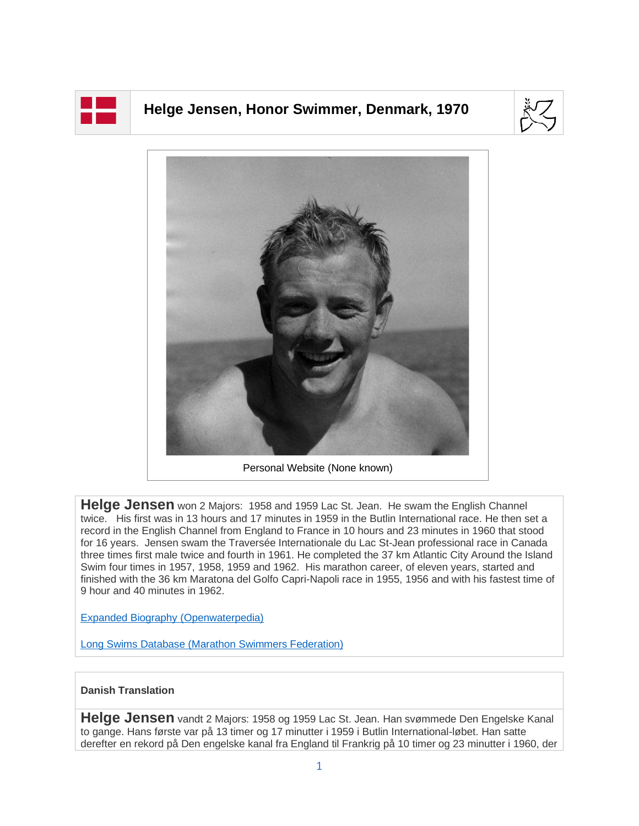

## **Helge Jensen, Honor Swimmer, Denmark, 1970**





**Helge Jensen** won 2 Majors: 1958 and 1959 Lac St. Jean. He swam the English Channel twice. His first was in 13 hours and 17 minutes in 1959 in the Butlin International race. He then set a record in the English Channel from England to France in 10 hours and 23 minutes in 1960 that stood for 16 years. Jensen swam the Traversée Internationale du Lac St-Jean professional race in Canada three times first male twice and fourth in 1961. He completed the 37 km Atlantic City Around the Island Swim four times in 1957, 1958, 1959 and 1962. His marathon career, of eleven years, started and finished with the 36 km Maratona del Golfo Capri-Napoli race in 1955, 1956 and with his fastest time of 9 hour and 40 minutes in 1962.

[Expanded Biography](https://www.openwaterpedia.com/index.php?title=Helge_Jensen) (Openwaterpedia)

Long Swims Database [\(Marathon Swimmers Federation\)](https://db.marathonswimmers.org/p/helge-jensen/)

## **Danish Translation**

**Helge Jensen** vandt 2 Majors: 1958 og 1959 Lac St. Jean. Han svømmede Den Engelske Kanal to gange. Hans første var på 13 timer og 17 minutter i 1959 i Butlin International-løbet. Han satte derefter en rekord på Den engelske kanal fra England til Frankrig på 10 timer og 23 minutter i 1960, der